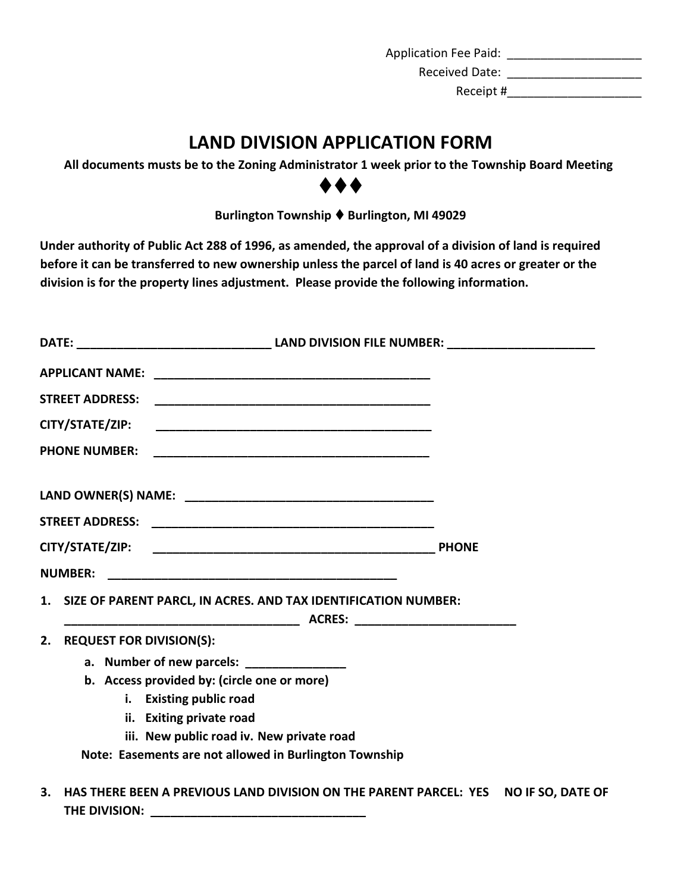Application Fee Paid: \_\_\_\_\_\_\_\_\_\_\_\_\_\_\_\_\_\_\_\_ Received Date: \_\_\_\_\_\_\_\_\_\_\_\_\_\_\_\_\_\_\_\_

Receipt #\_\_\_\_\_\_\_\_\_\_\_\_\_\_\_\_\_\_\_\_

## **LAND DIVISION APPLICATION FORM**

**All documents musts be to the Zoning Administrator 1 week prior to the Township Board Meeting**

⧫⧫⧫

**Burlington Township** ⧫ **Burlington, MI 49029** 

**Under authority of Public Act 288 of 1996, as amended, the approval of a division of land is required before it can be transferred to new ownership unless the parcel of land is 40 acres or greater or the division is for the property lines adjustment. Please provide the following information.** 

| <b>STREET ADDRESS:</b>                |                                                                   |  |
|---------------------------------------|-------------------------------------------------------------------|--|
| CITY/STATE/ZIP:                       |                                                                   |  |
| <b>PHONE NUMBER:</b>                  |                                                                   |  |
|                                       |                                                                   |  |
|                                       |                                                                   |  |
|                                       |                                                                   |  |
| <b>NUMBER:</b>                        |                                                                   |  |
|                                       | 1. SIZE OF PARENT PARCL, IN ACRES. AND TAX IDENTIFICATION NUMBER: |  |
| <b>REQUEST FOR DIVISION(S):</b><br>2. |                                                                   |  |
|                                       | a. Number of new parcels: _______________                         |  |
|                                       | b. Access provided by: (circle one or more)                       |  |
|                                       | i. Existing public road                                           |  |
|                                       | ii. Exiting private road                                          |  |
|                                       | iii. New public road iv. New private road                         |  |
|                                       | Note: Easements are not allowed in Burlington Township            |  |
|                                       |                                                                   |  |

**3. HAS THERE BEEN A PREVIOUS LAND DIVISION ON THE PARENT PARCEL: YES NO IF SO, DATE OF THE DIVISION: \_\_\_\_\_\_\_\_\_\_\_\_\_\_\_\_\_\_\_\_\_\_\_\_\_\_\_\_\_\_\_\_**